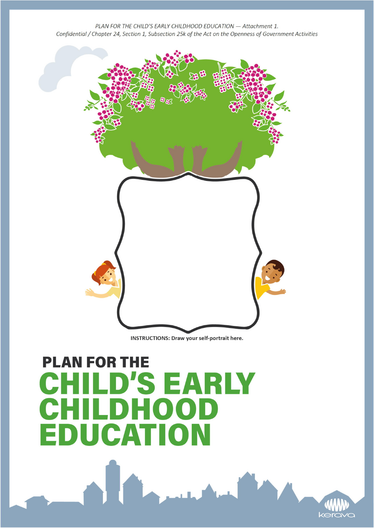

INSTRUCTIONS: Draw your self-portrait here.

## **PLAN FOR THE CHILD'S EARLY** CHILDHOOD **EDUCATION**

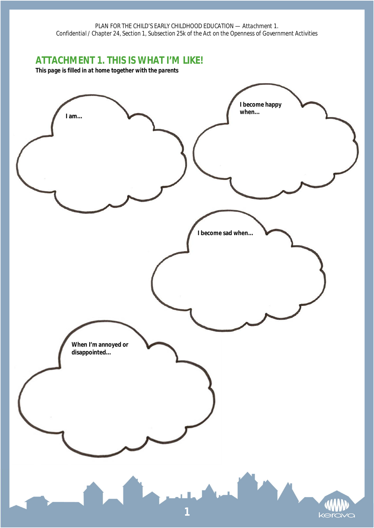## **ATTACHMENT 1. THIS IS WHAT I'M LIKE!**

*This page is filled in at home together with the parents*

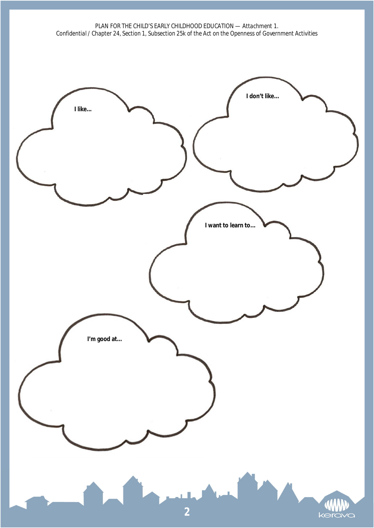